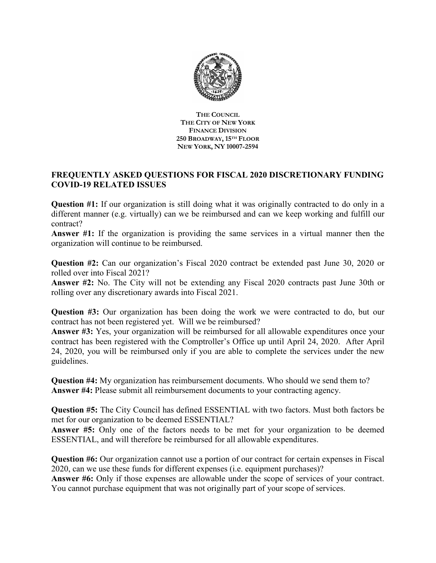

**THE COUNCIL THE CITY OF NEW YORK FINANCE DIVISION 250 BROADWAY, 15TH FLOOR NEW YORK, NY 10007-2594**

## **FREQUENTLY ASKED QUESTIONS FOR FISCAL 2020 DISCRETIONARY FUNDING COVID-19 RELATED ISSUES**

**Question #1:** If our organization is still doing what it was originally contracted to do only in a different manner (e.g. virtually) can we be reimbursed and can we keep working and fulfill our contract?

**Answer #1:** If the organization is providing the same services in a virtual manner then the organization will continue to be reimbursed.

**Question #2:** Can our organization's Fiscal 2020 contract be extended past June 30, 2020 or rolled over into Fiscal 2021?

**Answer #2:** No. The City will not be extending any Fiscal 2020 contracts past June 30th or rolling over any discretionary awards into Fiscal 2021.

**Question #3:** Our organization has been doing the work we were contracted to do, but our contract has not been registered yet. Will we be reimbursed?

**Answer #3:** Yes, your organization will be reimbursed for all allowable expenditures once your contract has been registered with the Comptroller's Office up until April 24, 2020. After April 24, 2020, you will be reimbursed only if you are able to complete the services under the new guidelines.

**Question #4:** My organization has reimbursement documents. Who should we send them to? **Answer #4:** Please submit all reimbursement documents to your contracting agency.

**Question #5:** The City Council has defined ESSENTIAL with two factors. Must both factors be met for our organization to be deemed ESSENTIAL?

**Answer #5:** Only one of the factors needs to be met for your organization to be deemed ESSENTIAL, and will therefore be reimbursed for all allowable expenditures.

**Question #6:** Our organization cannot use a portion of our contract for certain expenses in Fiscal 2020, can we use these funds for different expenses (i.e. equipment purchases)?

**Answer #6:** Only if those expenses are allowable under the scope of services of your contract. You cannot purchase equipment that was not originally part of your scope of services.